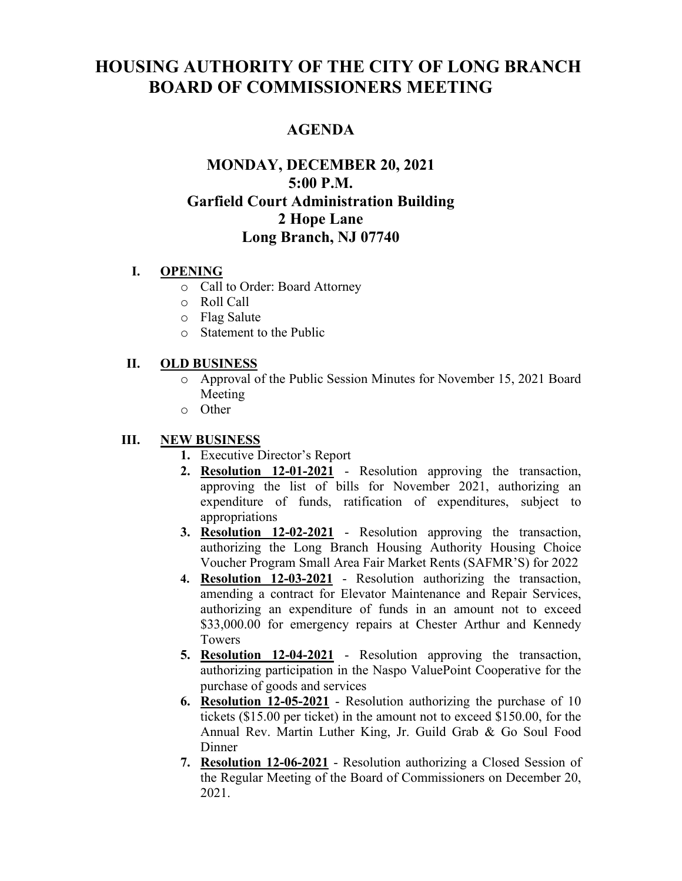# **HOUSING AUTHORITY OF THE CITY OF LONG BRANCH BOARD OF COMMISSIONERS MEETING**

# **AGENDA**

# **MONDAY, DECEMBER 20, 2021 5:00 P.M. Garfield Court Administration Building 2 Hope Lane Long Branch, NJ 07740**

#### **I. OPENING**

- o Call to Order: Board Attorney
- o Roll Call
- o Flag Salute
- o Statement to the Public

### **II. OLD BUSINESS**

- o Approval of the Public Session Minutes for November 15, 2021 Board Meeting
- o Other

## **III. NEW BUSINESS**

- **1.** Executive Director's Report
- **2. Resolution 12-01-2021** Resolution approving the transaction, approving the list of bills for November 2021, authorizing an expenditure of funds, ratification of expenditures, subject to appropriations
- **3. Resolution 12-02-2021** Resolution approving the transaction, authorizing the Long Branch Housing Authority Housing Choice Voucher Program Small Area Fair Market Rents (SAFMR'S) for 2022
- **4. Resolution 12-03-2021** Resolution authorizing the transaction, amending a contract for Elevator Maintenance and Repair Services, authorizing an expenditure of funds in an amount not to exceed \$33,000.00 for emergency repairs at Chester Arthur and Kennedy Towers
- **5. Resolution 12-04-2021** Resolution approving the transaction, authorizing participation in the Naspo ValuePoint Cooperative for the purchase of goods and services
- **6. Resolution 12-05-2021** Resolution authorizing the purchase of 10 tickets (\$15.00 per ticket) in the amount not to exceed \$150.00, for the Annual Rev. Martin Luther King, Jr. Guild Grab & Go Soul Food Dinner
- **7. Resolution 12-06-2021** Resolution authorizing a Closed Session of the Regular Meeting of the Board of Commissioners on December 20, 2021.